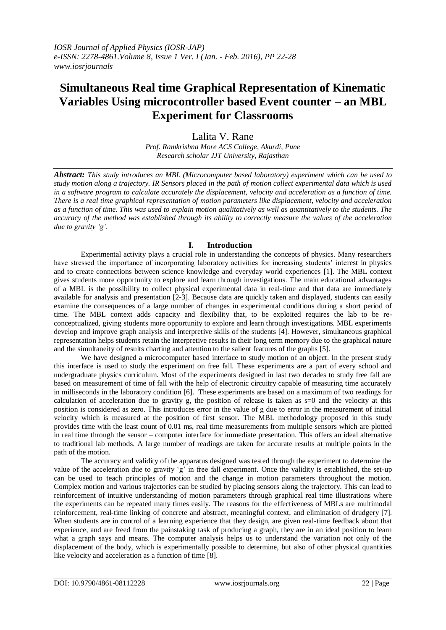# **Simultaneous Real time Graphical Representation of Kinematic Variables Using microcontroller based Event counter – an MBL Experiment for Classrooms**

Lalita V. Rane *Prof. Ramkrishna More ACS College, Akurdi, Pune Research scholar JJT University, Rajasthan*

*Abstract: This study introduces an MBL (Microcomputer based laboratory) experiment which can be used to study motion along a trajectory. IR Sensors placed in the path of motion collect experimental data which is used in a software program to calculate accurately the displacement, velocity and acceleration as a function of time. There is a real time graphical representation of motion parameters like displacement, velocity and acceleration as a function of time. This was used to explain motion qualitatively as well as quantitatively to the students. The accuracy of the method was established through its ability to correctly measure the values of the acceleration due to gravity 'g'.* 

# **I. Introduction**

Experimental activity plays a crucial role in understanding the concepts of physics. Many researchers have stressed the importance of incorporating laboratory activities for increasing students' interest in physics and to create connections between science knowledge and everyday world experiences [1]. The MBL context gives students more opportunity to explore and learn through investigations. The main educational advantages of a MBL is the possibility to collect physical experimental data in real-time and that data are immediately available for analysis and presentation [2-3]. Because data are quickly taken and displayed, students can easily examine the consequences of a large number of changes in experimental conditions during a short period of time. The MBL context adds capacity and flexibility that, to be exploited requires the lab to be reconceptualized, giving students more opportunity to explore and learn through investigations. MBL experiments develop and improve graph analysis and interpretive skills of the students [4]. However, simultaneous graphical representation helps students retain the interpretive results in their long term memory due to the graphical nature and the simultaneity of results charting and attention to the salient features of the graphs [5].

We have designed a microcomputer based interface to study motion of an object. In the present study this interface is used to study the experiment on free fall. These experiments are a part of every school and undergraduate physics curriculum. Most of the experiments designed in last two decades to study free fall are based on measurement of time of fall with the help of electronic circuitry capable of measuring time accurately in milliseconds in the laboratory condition [6]. These experiments are based on a maximum of two readings for calculation of acceleration due to gravity g, the position of release is taken as  $s=0$  and the velocity at this position is considered as zero. This introduces error in the value of g due to error in the measurement of initial velocity which is measured at the position of first sensor. The MBL methodology proposed in this study provides time with the least count of 0.01 ms, real time measurements from multiple sensors which are plotted in real time through the sensor – computer interface for immediate presentation. This offers an ideal alternative to traditional lab methods. A large number of readings are taken for accurate results at multiple points in the path of the motion.

The accuracy and validity of the apparatus designed was tested through the experiment to determine the value of the acceleration due to gravity 'g' in free fall experiment. Once the validity is established, the set-up can be used to teach principles of motion and the change in motion parameters throughout the motion. Complex motion and various trajectories can be studied by placing sensors along the trajectory. This can lead to reinforcement of intuitive understanding of motion parameters through graphical real time illustrations where the experiments can be repeated many times easily. The reasons for the effectiveness of MBLs are multimodal reinforcement, real-time linking of concrete and abstract, meaningful context, and elimination of drudgery [7]. When students are in control of a learning experience that they design, are given real-time feedback about that experience, and are freed from the painstaking task of producing a graph, they are in an ideal position to learn what a graph says and means. The computer analysis helps us to understand the variation not only of the displacement of the body, which is experimentally possible to determine, but also of other physical quantities like velocity and acceleration as a function of time [8].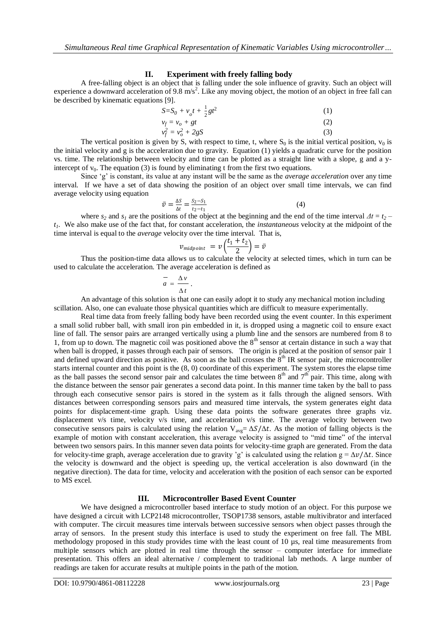## **II. Experiment with freely falling body**

A free-falling object is an object that is falling under the sole influence of gravity. Such an object will experience a downward acceleration of 9.8 m/s<sup>2</sup>. Like any moving object, the motion of an object in free fall can be described by kinematic equations [9].

$$
S=S_0 + v_o t + \frac{1}{2}gt^2
$$
  
\n
$$
v_f = v_o + gt
$$
  
\n
$$
v_f^2 = v_o^2 + 2gS
$$
  
\n(3)

The vertical position is given by S, with respect to time, t, where  $S_0$  is the initial vertical position,  $v_0$  is the initial velocity and g is the acceleration due to gravity. Equation (1) yields a quadratic curve for the position vs. time. The relationship between velocity and time can be plotted as a straight line with a slope, g and a yintercept of  $v_0$ . The equation (3) is found by eliminating t from the first two equations.

Since "g" is constant, its value at any instant will be the same as the *average acceleration* over any time interval. If we have a set of data showing the position of an object over small time intervals, we can find average velocity using equation

$$
\bar{v} = \frac{\Delta S}{\Delta t} = \frac{S_2 - S_1}{t_2 - t_1} \tag{4}
$$

where *s*<sub>2</sub> and *s*<sub>1</sub> are the positions of the object at the beginning and the end of the time interval  $\Delta t = t_2$  – *t1.* We also make use of the fact that, for constant acceleration, the *instantaneous* velocity at the midpoint of the time interval is equal to the *average* velocity over the time interval. That is,

$$
v_{midpoint} = v\left(\frac{t_1 + t_2}{2}\right) = \bar{v}
$$

Thus the position-time data allows us to calculate the velocity at selected times, which in turn can be used to calculate the acceleration. The average acceleration is defined as

$$
\frac{a}{a} = \frac{\Delta v}{\Delta t}.
$$

An advantage of this solution is that one can easily adopt it to study any mechanical motion including scillation. Also, one can evaluate those physical quantities which are difficult to measure experimentally.

Real time data from freely falling body have been recorded using the event counter. In this experiment a small solid rubber ball, with small iron pin embedded in it, is dropped using a magnetic coil to ensure exact line of fall. The sensor pairs are arranged vertically using a plumb line and the sensors are numbered from 8 to 1, from up to down. The magnetic coil was positioned above the  $8<sup>th</sup>$  sensor at certain distance in such a way that when ball is dropped, it passes through each pair of sensors. The origin is placed at the position of sensor pair 1 and defined upward direction as positive. As soon as the ball crosses the  $8<sup>th</sup>$  IR sensor pair, the microcontroller starts internal counter and this point is the (8, 0) coordinate of this experiment. The system stores the elapse time as the ball passes the second sensor pair and calculates the time between  $8<sup>th</sup>$  and  $7<sup>th</sup>$  pair. This time, along with the distance between the sensor pair generates a second data point. In this manner time taken by the ball to pass through each consecutive sensor pairs is stored in the system as it falls through the aligned sensors. With distances between corresponding sensors pairs and measured time intervals, the system generates eight data points for displacement-time graph. Using these data points the software generates three graphs viz. displacement v/s time, velocity v/s time, and acceleration v/s time. The average velocity between two consecutive sensors pairs is calculated using the relation  $V_{avg} = \Delta S/\Delta t$ . As the motion of falling objects is the example of motion with constant acceleration, this average velocity is assigned to "mid time" of the interval between two sensors pairs. In this manner seven data points for velocity-time graph are generated. From the data for velocity-time graph, average acceleration due to gravity 'g' is calculated using the relation  $g = \Delta \nu / \Delta t$ . Since the velocity is downward and the object is speeding up, the vertical acceleration is also downward (in the negative direction). The data for time, velocity and acceleration with the position of each sensor can be exported to MS excel.

### **III. Microcontroller Based Event Counter**

We have designed a microcontroller based interface to study motion of an object. For this purpose we have designed a circuit with LCP2148 microcontroller, TSOP1738 sensors, astable multivibrator and interfaced with computer. The circuit measures time intervals between successive sensors when object passes through the array of sensors. In the present study this interface is used to study the experiment on free fall. The MBL methodology proposed in this study provides time with the least count of 10 µs, real time measurements from multiple sensors which are plotted in real time through the sensor – computer interface for immediate presentation. This offers an ideal alternative / complement to traditional lab methods. A large number of readings are taken for accurate results at multiple points in the path of the motion.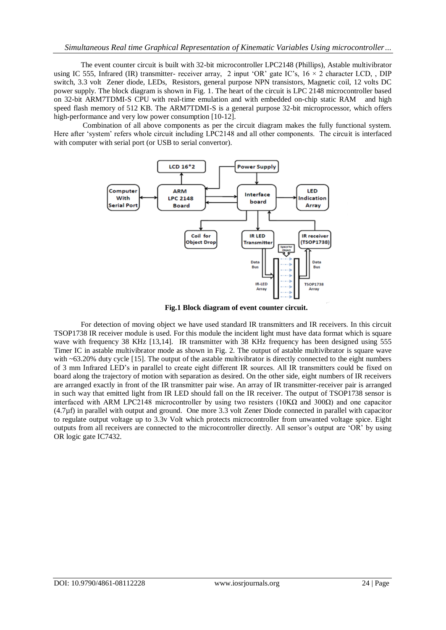The event counter circuit is built with 32-bit microcontroller LPC2148 (Phillips), Astable multivibrator using IC 555, Infrared (IR) transmitter- receiver array, 2 input 'OR' gate IC's,  $16 \times 2$  character LCD, , DIP switch, 3.3 volt Zener diode, LEDs, Resistors, general purpose NPN transistors, Magnetic coil, 12 volts DC power supply. The block diagram is shown in Fig. 1. The heart of the circuit is LPC 2148 microcontroller based on 32-bit ARM7TDMI-S CPU with real-time emulation and with embedded on-chip static RAM and high speed flash memory of 512 KB. The ARM7TDMI-S is a general purpose 32-bit microprocessor, which offers high-performance and very low power consumption [10-12].

Combination of all above components as per the circuit diagram makes the fully functional system. Here after "system" refers whole circuit including LPC2148 and all other components. The circuit is interfaced with computer with serial port (or USB to serial convertor).



**Fig.1 Block diagram of event counter circuit.**

For detection of moving object we have used standard IR transmitters and IR receivers. In this circuit TSOP1738 IR receiver module is used. For this module the incident light must have data format which is square wave with frequency 38 KHz [13,14]. IR transmitter with 38 KHz frequency has been designed using 555 Timer IC in astable multivibrator mode as shown in Fig. 2. The output of astable multivibrator is square wave with ~63.20% duty cycle [15]. The output of the astable multivibrator is directly connected to the eight numbers of 3 mm Infrared LED"s in parallel to create eight different IR sources. All IR transmitters could be fixed on board along the trajectory of motion with separation as desired. On the other side, eight numbers of IR receivers are arranged exactly in front of the IR transmitter pair wise. An array of IR transmitter-receiver pair is arranged in such way that emitted light from IR LED should fall on the IR receiver. The output of TSOP1738 sensor is interfaced with ARM LPC2148 microcontroller by using two resisters (10KΩ and 300Ω) and one capacitor (4.7µf) in parallel with output and ground. One more 3.3 volt Zener Diode connected in parallel with capacitor to regulate output voltage up to 3.3v Volt which protects microcontroller from unwanted voltage spice. Eight outputs from all receivers are connected to the microcontroller directly. All sensor"s output are "OR" by using OR logic gate IC7432.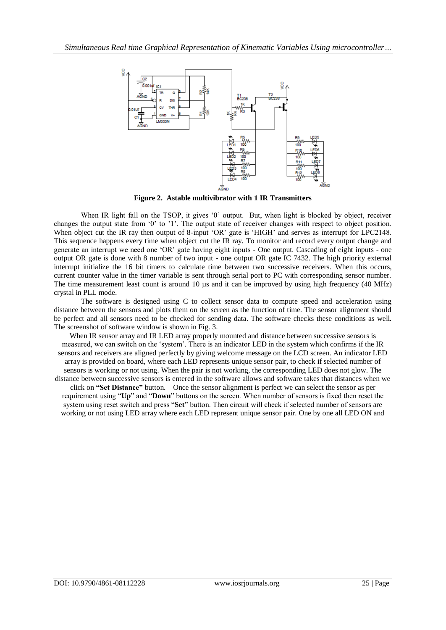

**Figure 2. Astable multivibrator with 1 IR Transmitters** 

When IR light fall on the TSOP, it gives '0' output. But, when light is blocked by object, receiver changes the output state from "0" to "1". The output state of receiver changes with respect to object position. When object cut the IR ray then output of 8-input 'OR' gate is 'HIGH' and serves as interrupt for LPC2148. This sequence happens every time when object cut the IR ray. To monitor and record every output change and generate an interrupt we need one "OR" gate having eight inputs - One output. Cascading of eight inputs - one output OR gate is done with 8 number of two input - one output OR gate IC 7432. The high priority external interrupt initialize the 16 bit timers to calculate time between two successive receivers. When this occurs, current counter value in the timer variable is sent through serial port to PC with corresponding sensor number. The time measurement least count is around 10 µs and it can be improved by using high frequency (40 MHz) crystal in PLL mode.

The software is designed using C to collect sensor data to compute speed and acceleration using distance between the sensors and plots them on the screen as the function of time. The sensor alignment should be perfect and all sensors need to be checked for sending data. The software checks these conditions as well. The screenshot of software window is shown in Fig. 3.

When IR sensor array and IR LED array properly mounted and distance between successive sensors is measured, we can switch on the "system". There is an indicator LED in the system which confirms if the IR sensors and receivers are aligned perfectly by giving welcome message on the LCD screen. An indicator LED array is provided on board, where each LED represents unique sensor pair, to check if selected number of sensors is working or not using. When the pair is not working, the corresponding LED does not glow. The distance between successive sensors is entered in the software allows and software takes that distances when we click on **"Set Distance"** button. Once the sensor alignment is perfect we can select the sensor as per requirement using "**Up**" and "**Down**" buttons on the screen. When number of sensors is fixed then reset the system using reset switch and press "**Set**" button. Then circuit will check if selected number of sensors are working or not using LED array where each LED represent unique sensor pair. One by one all LED ON and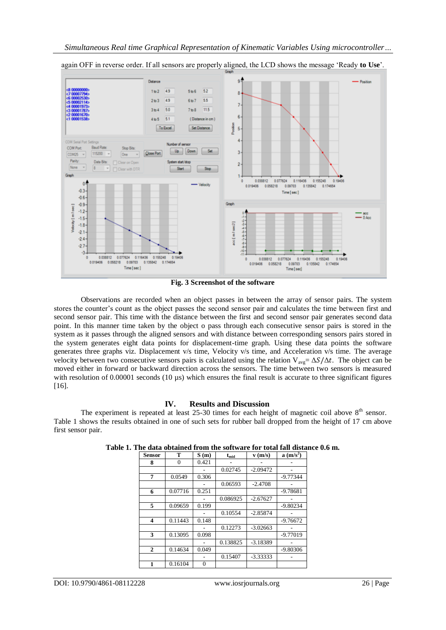

again OFF in reverse order. If all sensors are properly aligned, the LCD shows the message "Ready **to Use**".

**Fig. 3 Screenshot of the software**

Observations are recorded when an object passes in between the array of sensor pairs. The system stores the counter"s count as the object passes the second sensor pair and calculates the time between first and second sensor pair. This time with the distance between the first and second sensor pair generates second data point. In this manner time taken by the object o pass through each consecutive sensor pairs is stored in the system as it passes through the aligned sensors and with distance between corresponding sensors pairs stored in the system generates eight data points for displacement-time graph. Using these data points the software generates three graphs viz. Displacement v/s time, Velocity v/s time, and Acceleration v/s time. The average velocity between two consecutive sensors pairs is calculated using the relation  $V_{\text{ave}} = \Delta S/\Delta t$ . The object can be moved either in forward or backward direction across the sensors. The time between two sensors is measured with resolution of 0.00001 seconds (10 µs) which ensures the final result is accurate to three significant figures [16].

## **IV. Results and Discussion**

The experiment is repeated at least  $25-30$  times for each height of magnetic coil above  $8<sup>th</sup>$  sensor. Table 1 shows the results obtained in one of such sets for rubber ball dropped from the height of 17 cm above first sensor pair.

| <b>Sensor</b> | т        | S(m)           | $t_{\rm mid}$ | v(m/s)     | a (m/s <sup>2</sup> ) |
|---------------|----------|----------------|---------------|------------|-----------------------|
| 8             | $\theta$ | 0.421          |               |            |                       |
|               |          |                | 0.02745       | $-2.09472$ |                       |
| 7             | 0.0549   | 0.306          |               |            | $-9.77344$            |
|               |          |                | 0.06593       | $-2.4708$  |                       |
| 6             | 0.07716  | 0.251          |               |            | $-9.78681$            |
|               |          |                | 0.086925      | $-2.67627$ |                       |
| 5             | 0.09659  | 0.199          |               |            | $-9.80234$            |
|               |          |                | 0.10554       | $-2.85874$ |                       |
| 4             | 0.11443  | 0.148          |               |            | $-9.76672$            |
|               |          |                | 0.12273       | $-3.02663$ |                       |
| 3             | 0.13095  | 0.098          |               |            | $-9.77019$            |
|               |          |                | 0.138825      | $-3.18389$ |                       |
| $\mathbf{2}$  | 0.14634  | 0.049          |               |            | $-9.80306$            |
|               |          |                | 0.15407       | $-3.33333$ |                       |
| 1             | 0.16104  | $\overline{0}$ |               |            |                       |

| Table 1. The data obtained from the software for total fall distance 0.6 m. |  |  |  |  |
|-----------------------------------------------------------------------------|--|--|--|--|
|                                                                             |  |  |  |  |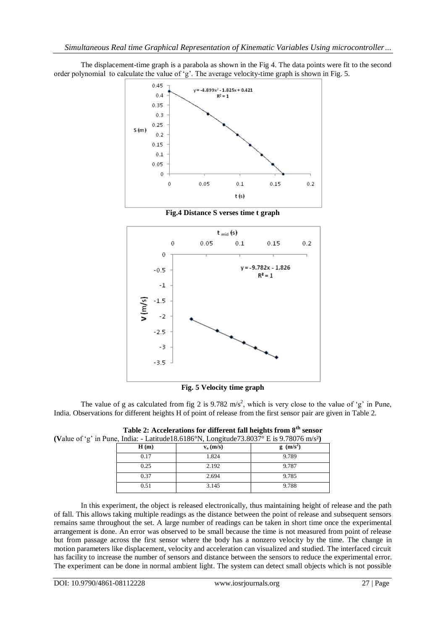

The displacement-time graph is a parabola as shown in the Fig 4. The data points were fit to the second order polynomial to calculate the value of 'g'. The average velocity-time graph is shown in Fig. 5.





**Fig. 5 Velocity time graph**

The value of g as calculated from fig 2 is  $9.782 \text{ m/s}^2$ , which is very close to the value of 'g' in Pune, India. Observations for different heights H of point of release from the first sensor pair are given in Table 2.

| (Value of 'g' in Pune, India: - Latitude18.6186°N, Longitude73.8037° E is 9.78076 m/s <sup>2</sup> ) |      |             |                         |  |  |
|------------------------------------------------------------------------------------------------------|------|-------------|-------------------------|--|--|
|                                                                                                      | H(m) | $v_0$ (m/s) | $g$ (m/s <sup>2</sup> ) |  |  |
|                                                                                                      | 0.17 | 1.824       | 9.789                   |  |  |
|                                                                                                      | 0.25 | 2.192       | 9.787                   |  |  |
|                                                                                                      | 0.37 | 2.694       | 9.785                   |  |  |
|                                                                                                      | 0.51 | 3.145       | 9.788                   |  |  |

**Table 2:** Accelerations for different fall heights from  $8^{th}$  sensor<br> **India** Latituda<sup>19, 61969N, Langituda<sup>72, 90279</sup> E is 0.78076 m/s<sup>2</sup>)</sup>

In this experiment, the object is released electronically, thus maintaining height of release and the path of fall. This allows taking multiple readings as the distance between the point of release and subsequent sensors remains same throughout the set. A large number of readings can be taken in short time once the experimental arrangement is done. An error was observed to be small because the time is not measured from point of release but from passage across the first sensor where the body has a nonzero velocity by the time. The change in motion parameters like displacement, velocity and acceleration can visualized and studied. The interfaced circuit has facility to increase the number of sensors and distance between the sensors to reduce the experimental error. The experiment can be done in normal ambient light. The system can detect small objects which is not possible